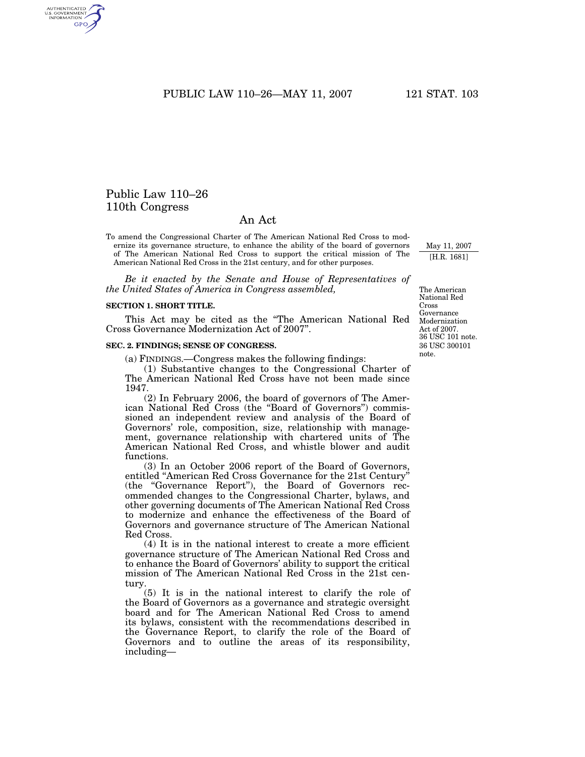# Public Law 110–26 110th Congress

AUTHENTICATED<br>U.S. GOVERNMENT<br>INFORMATION GPO

# An Act

To amend the Congressional Charter of The American National Red Cross to modernize its governance structure, to enhance the ability of the board of governors of The American National Red Cross to support the critical mission of The American National Red Cross in the 21st century, and for other purposes.

*Be it enacted by the Senate and House of Representatives of the United States of America in Congress assembled,*

#### **SECTION 1. SHORT TITLE.**

This Act may be cited as the ''The American National Red Cross Governance Modernization Act of 2007''.

## **SEC. 2. FINDINGS; SENSE OF CONGRESS.**

(a) FINDINGS.—Congress makes the following findings:

(1) Substantive changes to the Congressional Charter of The American National Red Cross have not been made since 1947.

(2) In February 2006, the board of governors of The American National Red Cross (the ''Board of Governors'') commissioned an independent review and analysis of the Board of Governors' role, composition, size, relationship with management, governance relationship with chartered units of The American National Red Cross, and whistle blower and audit functions.

(3) In an October 2006 report of the Board of Governors, entitled ''American Red Cross Governance for the 21st Century'' (the ''Governance Report''), the Board of Governors recommended changes to the Congressional Charter, bylaws, and other governing documents of The American National Red Cross to modernize and enhance the effectiveness of the Board of Governors and governance structure of The American National Red Cross.

(4) It is in the national interest to create a more efficient governance structure of The American National Red Cross and to enhance the Board of Governors' ability to support the critical mission of The American National Red Cross in the 21st century.

(5) It is in the national interest to clarify the role of the Board of Governors as a governance and strategic oversight board and for The American National Red Cross to amend its bylaws, consistent with the recommendations described in the Governance Report, to clarify the role of the Board of Governors and to outline the areas of its responsibility, including—

36 USC 300101 note. The American National Red Cross Governance Modernization Act of 2007. 36 USC 101 note.

May 11, 2007 [H.R. 1681]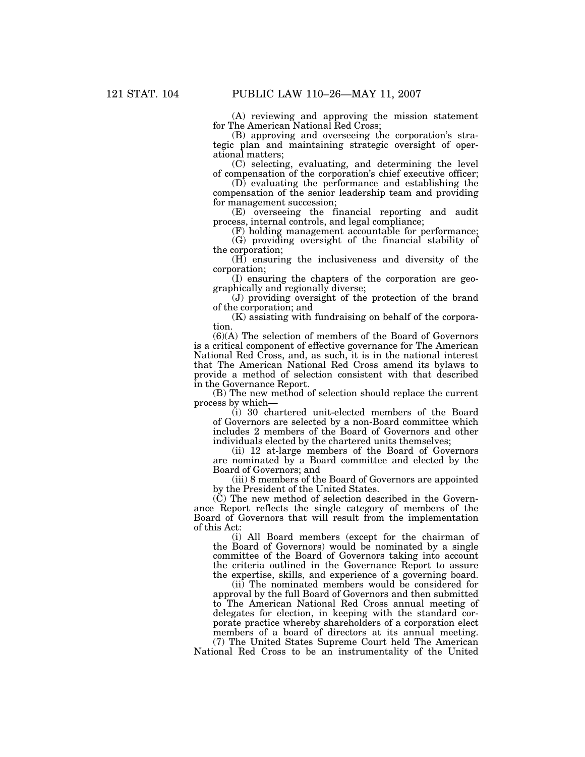(A) reviewing and approving the mission statement for The American National Red Cross;

(B) approving and overseeing the corporation's strategic plan and maintaining strategic oversight of operational matters;

(C) selecting, evaluating, and determining the level of compensation of the corporation's chief executive officer;

(D) evaluating the performance and establishing the compensation of the senior leadership team and providing for management succession;

(E) overseeing the financial reporting and audit process, internal controls, and legal compliance;

(F) holding management accountable for performance; (G) providing oversight of the financial stability of the corporation;

(H) ensuring the inclusiveness and diversity of the corporation;

(I) ensuring the chapters of the corporation are geographically and regionally diverse;

(J) providing oversight of the protection of the brand of the corporation; and

(K) assisting with fundraising on behalf of the corporation.

(6)(A) The selection of members of the Board of Governors is a critical component of effective governance for The American National Red Cross, and, as such, it is in the national interest that The American National Red Cross amend its bylaws to provide a method of selection consistent with that described in the Governance Report.

(B) The new method of selection should replace the current process by which—

(i) 30 chartered unit-elected members of the Board of Governors are selected by a non-Board committee which includes 2 members of the Board of Governors and other individuals elected by the chartered units themselves;

(ii) 12 at-large members of the Board of Governors are nominated by a Board committee and elected by the Board of Governors; and

(iii) 8 members of the Board of Governors are appointed by the President of the United States.

 $(\dot{C})$  The new method of selection described in the Governance Report reflects the single category of members of the Board of Governors that will result from the implementation of this Act:

(i) All Board members (except for the chairman of the Board of Governors) would be nominated by a single committee of the Board of Governors taking into account the criteria outlined in the Governance Report to assure the expertise, skills, and experience of a governing board.

(ii) The nominated members would be considered for approval by the full Board of Governors and then submitted to The American National Red Cross annual meeting of delegates for election, in keeping with the standard corporate practice whereby shareholders of a corporation elect members of a board of directors at its annual meeting.

(7) The United States Supreme Court held The American National Red Cross to be an instrumentality of the United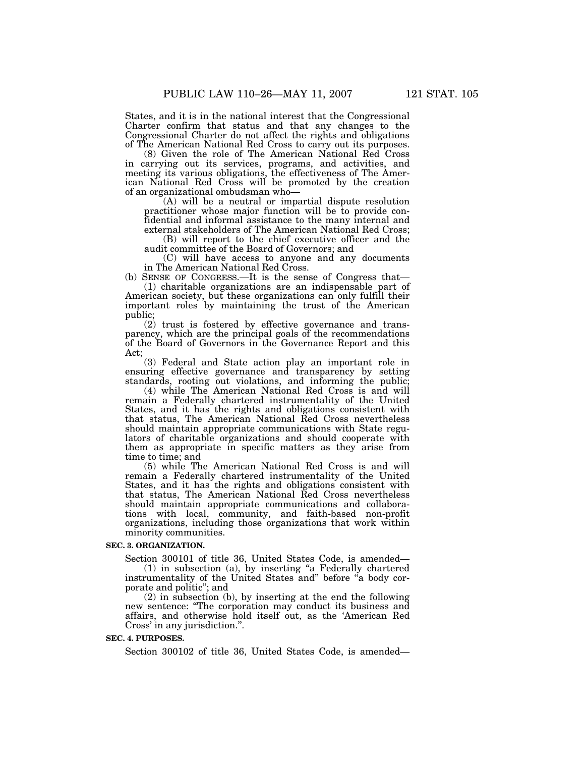States, and it is in the national interest that the Congressional Charter confirm that status and that any changes to the Congressional Charter do not affect the rights and obligations of The American National Red Cross to carry out its purposes.

(8) Given the role of The American National Red Cross in carrying out its services, programs, and activities, and meeting its various obligations, the effectiveness of The American National Red Cross will be promoted by the creation of an organizational ombudsman who—

(A) will be a neutral or impartial dispute resolution practitioner whose major function will be to provide confidential and informal assistance to the many internal and external stakeholders of The American National Red Cross;

(B) will report to the chief executive officer and the audit committee of the Board of Governors; and

(C) will have access to anyone and any documents in The American National Red Cross.

(b) SENSE OF CONGRESS.—It is the sense of Congress that— (1) charitable organizations are an indispensable part of American society, but these organizations can only fulfill their important roles by maintaining the trust of the American public;

(2) trust is fostered by effective governance and transparency, which are the principal goals of the recommendations of the Board of Governors in the Governance Report and this Act;

(3) Federal and State action play an important role in ensuring effective governance and transparency by setting standards, rooting out violations, and informing the public;

(4) while The American National Red Cross is and will remain a Federally chartered instrumentality of the United States, and it has the rights and obligations consistent with that status, The American National Red Cross nevertheless should maintain appropriate communications with State regulators of charitable organizations and should cooperate with them as appropriate in specific matters as they arise from time to time; and

(5) while The American National Red Cross is and will remain a Federally chartered instrumentality of the United States, and it has the rights and obligations consistent with that status, The American National Red Cross nevertheless should maintain appropriate communications and collaborations with local, community, and faith-based non-profit organizations, including those organizations that work within minority communities.

#### **SEC. 3. ORGANIZATION.**

Section 300101 of title 36, United States Code, is amended— (1) in subsection (a), by inserting ''a Federally chartered instrumentality of the United States and" before "a body corporate and politic''; and

(2) in subsection (b), by inserting at the end the following new sentence: ''The corporation may conduct its business and affairs, and otherwise hold itself out, as the 'American Red Cross' in any jurisdiction.''.

#### **SEC. 4. PURPOSES.**

Section 300102 of title 36, United States Code, is amended—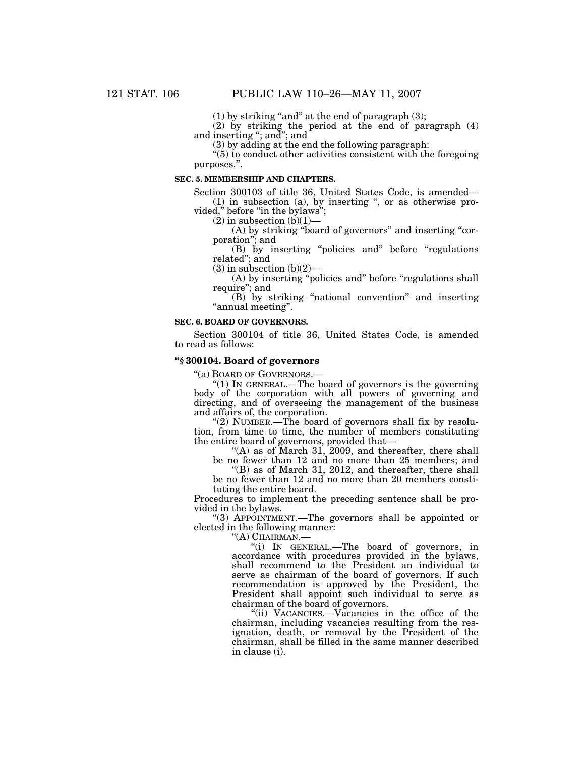$(1)$  by striking "and" at the end of paragraph  $(3)$ ;

(2) by striking the period at the end of paragraph (4) and inserting ''; and''; and

(3) by adding at the end the following paragraph:

''(5) to conduct other activities consistent with the foregoing purposes.''.

## **SEC. 5. MEMBERSHIP AND CHAPTERS.**

Section 300103 of title 36, United States Code, is amended— (1) in subsection (a), by inserting '', or as otherwise pro-

vided,'' before ''in the bylaws'';

 $(2)$  in subsection  $(b)(1)$ –

(A) by striking ''board of governors'' and inserting ''corporation''; and

(B) by inserting ''policies and'' before ''regulations related''; and

 $(3)$  in subsection  $(b)(2)$ —

(A) by inserting ''policies and'' before ''regulations shall require''; and

(B) by striking ''national convention'' and inserting ''annual meeting''.

## **SEC. 6. BOARD OF GOVERNORS.**

Section 300104 of title 36, United States Code, is amended to read as follows:

#### **''§ 300104. Board of governors**

''(a) BOARD OF GOVERNORS.—

''(1) IN GENERAL.—The board of governors is the governing body of the corporation with all powers of governing and directing, and of overseeing the management of the business and affairs of, the corporation.

"(2) NUMBER.—The board of governors shall fix by resolution, from time to time, the number of members constituting the entire board of governors, provided that—

"(A) as of March 31, 2009, and thereafter, there shall

be no fewer than 12 and no more than 25 members; and "(B) as of March 31, 2012, and thereafter, there shall be no fewer than 12 and no more than 20 members consti-

tuting the entire board.

Procedures to implement the preceding sentence shall be provided in the bylaws.

''(3) APPOINTMENT.—The governors shall be appointed or elected in the following manner:

''(A) CHAIRMAN.—

''(i) IN GENERAL.—The board of governors, in accordance with procedures provided in the bylaws, shall recommend to the President an individual to serve as chairman of the board of governors. If such recommendation is approved by the President, the President shall appoint such individual to serve as chairman of the board of governors.

''(ii) VACANCIES.—Vacancies in the office of the chairman, including vacancies resulting from the resignation, death, or removal by the President of the chairman, shall be filled in the same manner described in clause (i).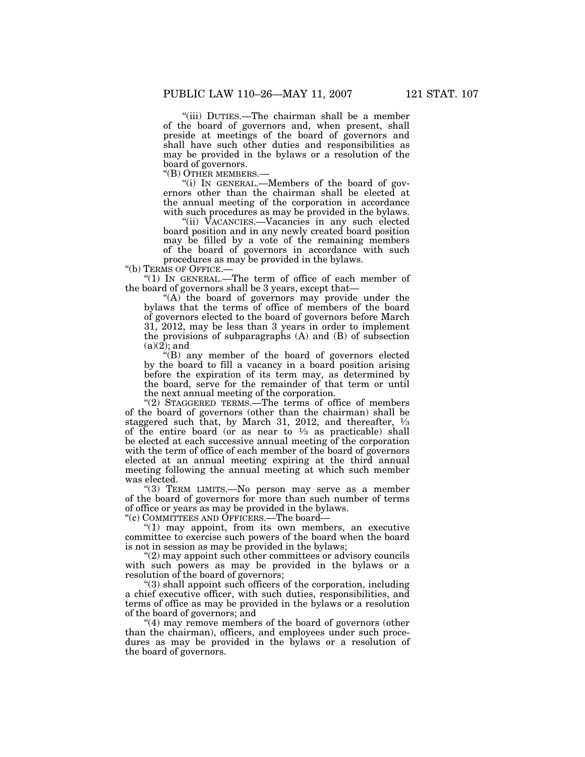''(iii) DUTIES.—The chairman shall be a member of the board of governors and, when present, shall preside at meetings of the board of governors and shall have such other duties and responsibilities as may be provided in the bylaws or a resolution of the board of governors.<br>"(B) OTHER MEMBERS.-

"(i) IN GENERAL.—Members of the board of governors other than the chairman shall be elected at the annual meeting of the corporation in accordance with such procedures as may be provided in the bylaws.

''(ii) VACANCIES.—Vacancies in any such elected board position and in any newly created board position may be filled by a vote of the remaining members of the board of governors in accordance with such procedures as may be provided in the bylaws.

''(b) TERMS OF OFFICE.—

''(1) IN GENERAL.—The term of office of each member of the board of governors shall be 3 years, except that—

"(A) the board of governors may provide under the bylaws that the terms of office of members of the board of governors elected to the board of governors before March 31, 2012, may be less than 3 years in order to implement the provisions of subparagraphs (A) and (B) of subsection  $(a)(\overline{2})$ ; and

''(B) any member of the board of governors elected by the board to fill a vacancy in a board position arising before the expiration of its term may, as determined by the board, serve for the remainder of that term or until the next annual meeting of the corporation.

"(2) STAGGERED TERMS.—The terms of office of members of the board of governors (other than the chairman) shall be staggered such that, by March 31, 2012, and thereafter,  $\frac{1}{3}$ of the entire board (or as near to  $\frac{1}{3}$  as practicable) shall be elected at each successive annual meeting of the corporation with the term of office of each member of the board of governors elected at an annual meeting expiring at the third annual meeting following the annual meeting at which such member was elected.

"(3) TERM LIMITS.—No person may serve as a member of the board of governors for more than such number of terms of office or years as may be provided in the bylaws.

''(c) COMMITTEES AND OFFICERS.—The board—

" $(1)$  may appoint, from its own members, an executive committee to exercise such powers of the board when the board is not in session as may be provided in the bylaws;

''(2) may appoint such other committees or advisory councils with such powers as may be provided in the bylaws or a resolution of the board of governors;

''(3) shall appoint such officers of the corporation, including a chief executive officer, with such duties, responsibilities, and terms of office as may be provided in the bylaws or a resolution of the board of governors; and

 $(4)$  may remove members of the board of governors (other than the chairman), officers, and employees under such procedures as may be provided in the bylaws or a resolution of the board of governors.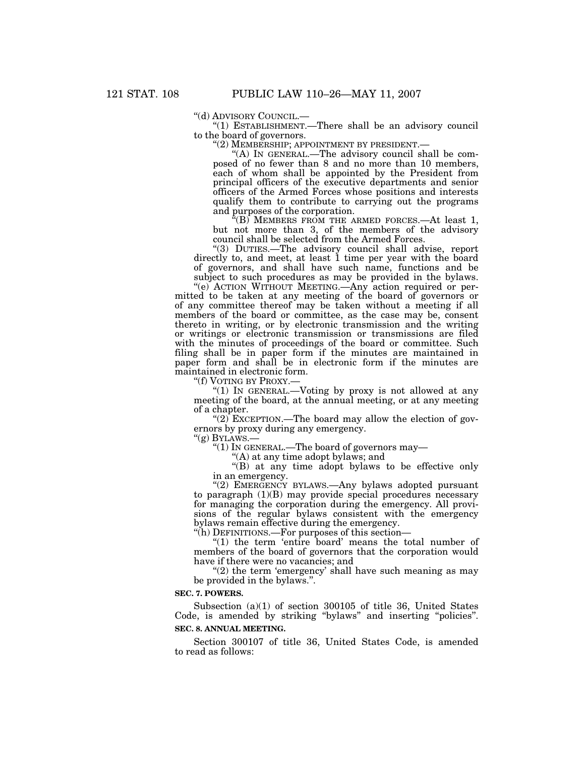''(d) ADVISORY COUNCIL.— ''(1) ESTABLISHMENT.—There shall be an advisory council to the board of governors.<br>"(2) MEMBERSHIP; APPOINTMENT BY PRESIDENT.—

"(A) IN GENERAL.—The advisory council shall be composed of no fewer than 8 and no more than 10 members, each of whom shall be appointed by the President from principal officers of the executive departments and senior officers of the Armed Forces whose positions and interests qualify them to contribute to carrying out the programs and purposes of the corporation.

 $\mathcal{H}(B)$  MEMBERS FROM THE ARMED FORCES.—At least 1, but not more than 3, of the members of the advisory council shall be selected from the Armed Forces.

''(3) DUTIES.—The advisory council shall advise, report directly to, and meet, at least 1 time per year with the board of governors, and shall have such name, functions and be subject to such procedures as may be provided in the bylaws.

''(e) ACTION WITHOUT MEETING.—Any action required or permitted to be taken at any meeting of the board of governors or of any committee thereof may be taken without a meeting if all members of the board or committee, as the case may be, consent thereto in writing, or by electronic transmission and the writing or writings or electronic transmission or transmissions are filed with the minutes of proceedings of the board or committee. Such filing shall be in paper form if the minutes are maintained in paper form and shall be in electronic form if the minutes are maintained in electronic form.

''(f) VOTING BY PROXY.— ''(1) IN GENERAL.—Voting by proxy is not allowed at any meeting of the board, at the annual meeting, or at any meeting of a chapter.

"(2) EXCEPTION.—The board may allow the election of governors by proxy during any emergency.<br>
" $(g)$  BYLAWS.—

"(1) IN GENERAL.—The board of governors may—

''(A) at any time adopt bylaws; and

''(B) at any time adopt bylaws to be effective only in an emergency.

"(2) EMERGENCY BYLAWS.—Any bylaws adopted pursuant to paragraph (1)(B) may provide special procedures necessary for managing the corporation during the emergency. All provisions of the regular bylaws consistent with the emergency bylaws remain effective during the emergency.

''(h) DEFINITIONS.—For purposes of this section—

''(1) the term 'entire board' means the total number of members of the board of governors that the corporation would have if there were no vacancies; and

" $(2)$  the term 'emergency' shall have such meaning as may be provided in the bylaws.''.

#### **SEC. 7. POWERS.**

Subsection (a)(1) of section 300105 of title 36, United States Code, is amended by striking ''bylaws'' and inserting ''policies''. **SEC. 8. ANNUAL MEETING.**

Section 300107 of title 36, United States Code, is amended to read as follows: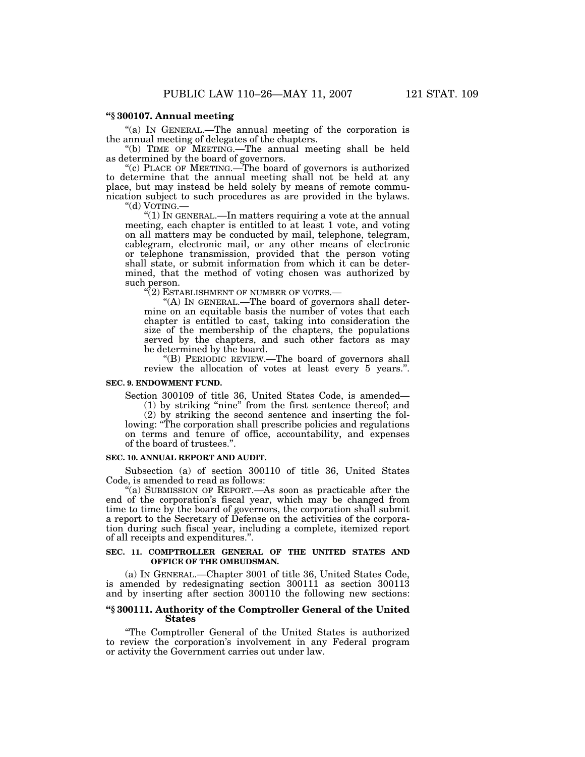## **''§ 300107. Annual meeting**

''(a) IN GENERAL.—The annual meeting of the corporation is the annual meeting of delegates of the chapters.

''(b) TIME OF MEETING.—The annual meeting shall be held as determined by the board of governors.

"(c) PLACE OF MEETING.—The board of governors is authorized to determine that the annual meeting shall not be held at any place, but may instead be held solely by means of remote communication subject to such procedures as are provided in the bylaws.

''(d) VOTING.— ''(1) IN GENERAL.—In matters requiring a vote at the annual meeting, each chapter is entitled to at least 1 vote, and voting on all matters may be conducted by mail, telephone, telegram, cablegram, electronic mail, or any other means of electronic or telephone transmission, provided that the person voting shall state, or submit information from which it can be determined, that the method of voting chosen was authorized by such person.

 $(2)$  ESTABLISHMENT OF NUMBER OF VOTES.—

"(A) IN GENERAL.—The board of governors shall determine on an equitable basis the number of votes that each chapter is entitled to cast, taking into consideration the size of the membership of the chapters, the populations served by the chapters, and such other factors as may be determined by the board.

''(B) PERIODIC REVIEW.—The board of governors shall review the allocation of votes at least every 5 years.''.

#### **SEC. 9. ENDOWMENT FUND.**

Section 300109 of title 36, United States Code, is amended— (1) by striking "nine" from the first sentence thereof; and

(2) by striking the second sentence and inserting the fol-

lowing: ''The corporation shall prescribe policies and regulations on terms and tenure of office, accountability, and expenses of the board of trustees.'

## **SEC. 10. ANNUAL REPORT AND AUDIT.**

Subsection (a) of section 300110 of title 36, United States Code, is amended to read as follows:

 $f(a)$  SUBMISSION OF REPORT.—As soon as practicable after the end of the corporation's fiscal year, which may be changed from time to time by the board of governors, the corporation shall submit a report to the Secretary of Defense on the activities of the corporation during such fiscal year, including a complete, itemized report of all receipts and expenditures.''.

#### **SEC. 11. COMPTROLLER GENERAL OF THE UNITED STATES AND OFFICE OF THE OMBUDSMAN.**

(a) IN GENERAL.—Chapter 3001 of title 36, United States Code, is amended by redesignating section 300111 as section 300113 and by inserting after section 300110 the following new sections:

## **''§ 300111. Authority of the Comptroller General of the United States**

''The Comptroller General of the United States is authorized to review the corporation's involvement in any Federal program or activity the Government carries out under law.